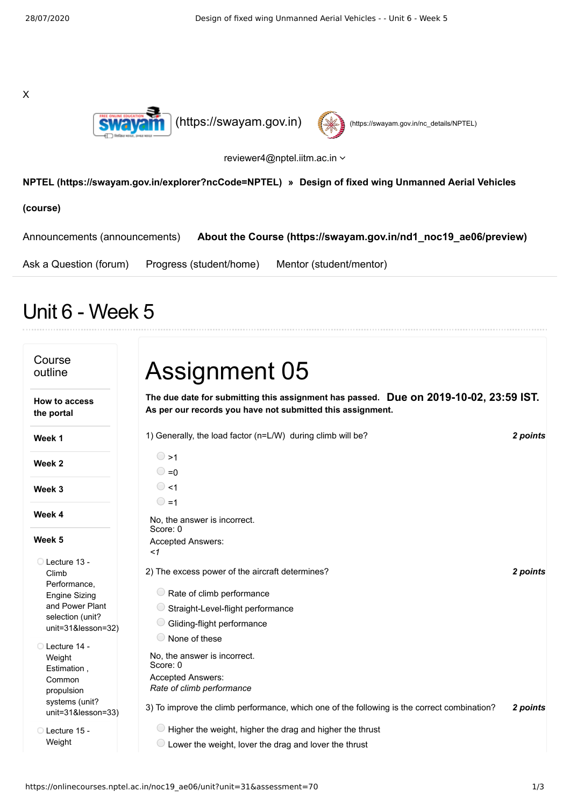X





reviewer4@nptel.iitm.ac.in

## **[NPTEL \(https://swayam.gov.in/explorer?ncCode=NPTEL\)](https://swayam.gov.in/explorer?ncCode=NPTEL) » Design of fixed wing Unmanned Aerial Vehicles**

**(course)**

| Announcements (announcements) |                         | About the Course (https://swayam.gov.in/nd1 noc19 ae06/preview) |
|-------------------------------|-------------------------|-----------------------------------------------------------------|
| Ask a Question (forum)        | Progress (student/home) | Mentor (student/mentor)                                         |

## Unit 6 - Week 5

| Course<br>outline                                                                                                            | <b>Assignment 05</b>                                                                                                                                                                                              |          |
|------------------------------------------------------------------------------------------------------------------------------|-------------------------------------------------------------------------------------------------------------------------------------------------------------------------------------------------------------------|----------|
| <b>How to access</b><br>the portal                                                                                           | The due date for submitting this assignment has passed. Due on 2019-10-02, 23:59 IST.<br>As per our records you have not submitted this assignment.                                                               |          |
| Week 1                                                                                                                       | 1) Generally, the load factor (n=L/W) during climb will be?                                                                                                                                                       | 2 points |
| Week 2                                                                                                                       | $\circ$ >1<br>$\bigcirc$ =0                                                                                                                                                                                       |          |
| Week 3                                                                                                                       | $\circ$ <1<br>$\bigcirc$ =1                                                                                                                                                                                       |          |
| Week 4                                                                                                                       | No, the answer is incorrect.<br>Score: 0                                                                                                                                                                          |          |
| Week 5                                                                                                                       | <b>Accepted Answers:</b><br>$\leq$ 1                                                                                                                                                                              |          |
| □ Lecture 13 -<br>Climb<br>Performance,<br><b>Engine Sizing</b><br>and Power Plant<br>selection (unit?<br>unit=31&lesson=32) | 2) The excess power of the aircraft determines?<br>$\bigcirc$ Rate of climb performance<br>Straight-Level-flight performance<br>Gliding-flight performance                                                        | 2 points |
| Lecture 14 -<br>Weight<br>Estimation,<br>Common<br>propulsion<br>systems (unit?<br>unit=31&lesson=33)                        | None of these<br>No, the answer is incorrect.<br>Score: 0<br><b>Accepted Answers:</b><br>Rate of climb performance<br>3) To improve the climb performance, which one of the following is the correct combination? | 2 points |
| Lecture 15 -<br>Weight                                                                                                       | $\bigcirc$ Higher the weight, higher the drag and higher the thrust<br>Lower the weight, lover the drag and lover the thrust                                                                                      |          |